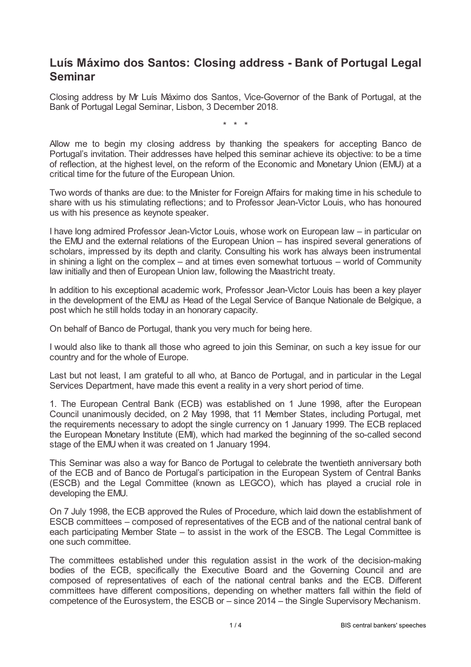## **Luís Máximo dos Santos: Closing address - Bank of Portugal Legal Seminar**

Closing address by Mr Luís Máximo dos Santos, Vice-Governor of the Bank of Portugal, at the Bank of Portugal Legal Seminar, Lisbon, 3 December 2018.

\* \* \*

Allow me to begin my closing address by thanking the speakers for accepting Banco de Portugal's invitation. Their addresses have helped this seminar achieve its objective: to be a time of reflection, at the highest level, on the reform of the Economic and Monetary Union (EMU) at a critical time for the future of the European Union.

Two words of thanks are due: to the Minister for Foreign Affairs for making time in his schedule to share with us his stimulating reflections; and to Professor Jean-Victor Louis, who has honoured us with his presence as keynote speaker.

I have long admired Professor Jean-Victor Louis, whose work on European law – in particular on the EMU and the external relations of the European Union – has inspired several generations of scholars, impressed by its depth and clarity. Consulting his work has always been instrumental in shining a light on the complex – and at times even somewhat tortuous – world of Community law initially and then of European Union law, following the Maastricht treaty.

In addition to his exceptional academic work, Professor Jean-Victor Louis has been a key player in the development of the EMU as Head of the Legal Service of Banque Nationale de Belgique, a post which he still holds today in an honorary capacity.

On behalf of Banco de Portugal, thank you very much for being here.

I would also like to thank all those who agreed to join this Seminar, on such a key issue for our country and for the whole of Europe.

Last but not least, I am grateful to all who, at Banco de Portugal, and in particular in the Legal Services Department, have made this event a reality in a very short period of time.

1. The European Central Bank (ECB) was established on 1 June 1998, after the European Council unanimously decided, on 2 May 1998, that 11 Member States, including Portugal, met the requirements necessary to adopt the single currency on 1 January 1999. The ECB replaced the European Monetary Institute (EMI), which had marked the beginning of the so-called second stage of the EMU when it was created on 1 January 1994.

This Seminar was also a way for Banco de Portugal to celebrate the twentieth anniversary both of the ECB and of Banco de Portugal's participation in the European System of Central Banks (ESCB) and the Legal Committee (known as LEGCO), which has played a crucial role in developing the EMU.

On 7 July 1998, the ECB approved the Rules of Procedure, which laid down the establishment of ESCB committees – composed of representatives of the ECB and of the national central bank of each participating Member State – to assist in the work of the ESCB. The Legal Committee is one such committee.

The committees established under this regulation assist in the work of the decision-making bodies of the ECB, specifically the Executive Board and the Governing Council and are composed of representatives of each of the national central banks and the ECB. Different committees have different compositions, depending on whether matters fall within the field of competence of the Eurosystem, the ESCB or – since 2014 – the Single Supervisory Mechanism.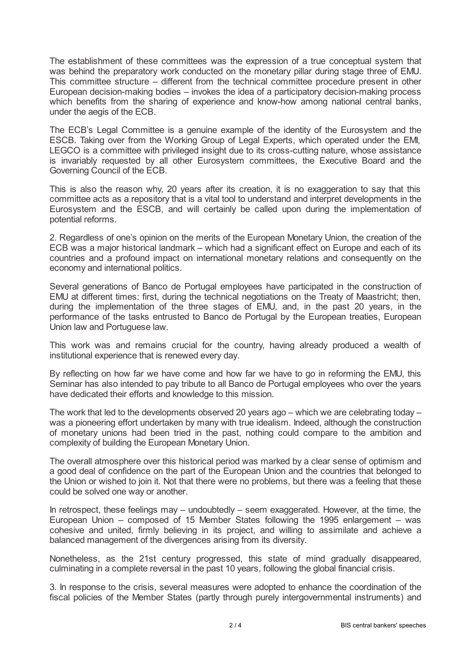The establishment of these committees was the expression of a true conceptual system that was behind the preparatory work conducted on the monetary pillar during stage three of EMU. This committee structure – different from the technical committee procedure present in other European decision-making bodies – invokes the idea of a participatory decision-making process which benefits from the sharing of experience and know-how among national central banks, under the aegis of the ECB.

The ECB's Legal Committee is a genuine example of the identity of the Eurosystem and the ESCB. Taking over from the Working Group of Legal Experts, which operated under the EMI, LEGCO is a committee with privileged insight due to its cross-cutting nature, whose assistance is invariably requested by all other Eurosystem committees, the Executive Board and the Governing Council of the ECB.

This is also the reason why, 20 years after its creation, it is no exaggeration to say that this committee acts as a repository that is a vital tool to understand and interpret developments in the Eurosystem and the ESCB, and will certainly be called upon during the implementation of potential reforms.

2. Regardless of one's opinion on the merits of the European Monetary Union, the creation of the ECB was a major historical landmark – which had a significant effect on Europe and each of its countries and a profound impact on international monetary relations and consequently on the economy and international politics.

Several generations of Banco de Portugal employees have participated in the construction of EMU at different times: first, during the technical negotiations on the Treaty of Maastricht; then, during the implementation of the three stages of EMU, and, in the past 20 years, in the performance of the tasks entrusted to Banco de Portugal by the European treaties, European Union law and Portuguese law.

This work was and remains crucial for the country, having already produced a wealth of institutional experience that is renewed every day.

By reflecting on how far we have come and how far we have to go in reforming the EMU, this Seminar has also intended to pay tribute to all Banco de Portugal employees who over the years have dedicated their efforts and knowledge to this mission.

The work that led to the developments observed 20 years ago – which we are celebrating today – was a pioneering effort undertaken by many with true idealism. Indeed, although the construction of monetary unions had been tried in the past, nothing could compare to the ambition and complexity of building the European Monetary Union.

The overall atmosphere over this historical period was marked by a clear sense of optimism and a good deal of confidence on the part of the European Union and the countries that belonged to the Union or wished to join it. Not that there were no problems, but there was a feeling that these could be solved one way or another.

In retrospect, these feelings may – undoubtedly – seem exaggerated. However, at the time, the European Union – composed of 15 Member States following the 1995 enlargement – was cohesive and united, firmly believing in its project, and willing to assimilate and achieve a balanced management of the divergences arising from its diversity.

Nonetheless, as the 21st century progressed, this state of mind gradually disappeared, culminating in a complete reversal in the past 10 years, following the global financial crisis.

3. In response to the crisis, several measures were adopted to enhance the coordination of the fiscal policies of the Member States (partly through purely intergovernmental instruments) and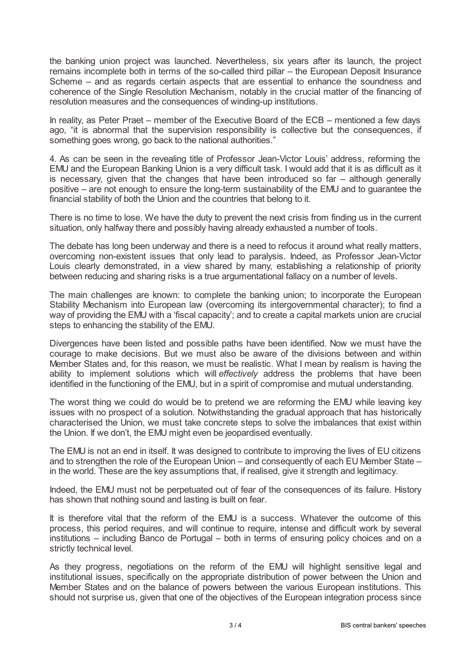the banking union project was launched. Nevertheless, six years after its launch, the project remains incomplete both in terms of the so-called third pillar – the European Deposit Insurance Scheme – and as regards certain aspects that are essential to enhance the soundness and coherence of the Single Resolution Mechanism, notably in the crucial matter of the financing of resolution measures and the consequences of winding-up institutions.

In reality, as Peter Praet – member of the Executive Board of the ECB – mentioned a few days ago, "it is abnormal that the supervision responsibility is collective but the consequences, if something goes wrong, go back to the national authorities."

4. As can be seen in the revealing title of Professor Jean-Victor Louis' address, reforming the EMU and the European Banking Union is a very difficult task. I would add that it is as difficult as it is necessary, given that the changes that have been introduced so far – although generally positive – are not enough to ensure the long-term sustainability of the EMU and to guarantee the financial stability of both the Union and the countries that belong to it.

There is no time to lose. We have the duty to prevent the next crisis from finding us in the current situation, only halfway there and possibly having already exhausted a number of tools.

The debate has long been underway and there is a need to refocus it around what really matters, overcoming non-existent issues that only lead to paralysis. Indeed, as Professor Jean-Victor Louis clearly demonstrated, in a view shared by many, establishing a relationship of priority between reducing and sharing risks is a true argumentational fallacy on a number of levels.

The main challenges are known: to complete the banking union; to incorporate the European Stability Mechanism into European law (overcoming its intergovernmental character); to find a way of providing the EMU with a 'fiscal capacity'; and to create a capital markets union are crucial steps to enhancing the stability of the EMU.

Divergences have been listed and possible paths have been identified. Now we must have the courage to make decisions. But we must also be aware of the divisions between and within Member States and, for this reason, we must be realistic. What I mean by realism is having the ability to implement solutions which will *effectively* address the problems that have been identified in the functioning of the EMU, but in a spirit of compromise and mutual understanding.

The worst thing we could do would be to pretend we are reforming the EMU while leaving key issues with no prospect of a solution. Notwithstanding the gradual approach that has historically characterised the Union, we must take concrete steps to solve the imbalances that exist within the Union. If we don't, the EMU might even be jeopardised eventually.

The EMU is not an end in itself. It was designed to contribute to improving the lives of EU citizens and to strengthen the role of the European Union – and consequently of each EU Member State – in the world. These are the key assumptions that, if realised, give it strength and legitimacy.

Indeed, the EMU must not be perpetuated out of fear of the consequences of its failure. History has shown that nothing sound and lasting is built on fear.

It is therefore vital that the reform of the EMU is a success. Whatever the outcome of this process, this period requires, and will continue to require, intense and difficult work by several institutions – including Banco de Portugal – both in terms of ensuring policy choices and on a strictly technical level.

As they progress, negotiations on the reform of the EMU will highlight sensitive legal and institutional issues, specifically on the appropriate distribution of power between the Union and Member States and on the balance of powers between the various European institutions. This should not surprise us, given that one of the objectives of the European integration process since